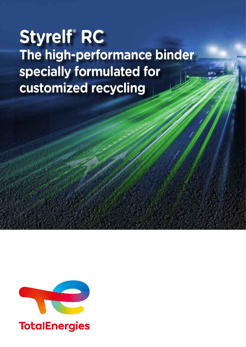# **Styrelf® RC The high-performance binder specially formulated for customized recycling**